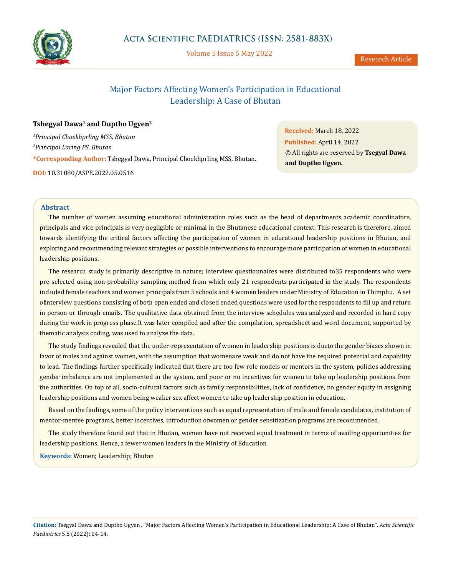

**Acta Scientific PAEDIATRICS (ISSN: 2581-883X)**

Volume 5 Issue 5 May 2022

# Major Factors Affecting Women's Participation in Educational Leadership: A Case of Bhutan

## **Tshegyal Dawa<sup>1</sup> and Duptho Ugyen<sup>2</sup>**

*1 Principal Choekhprling MSS, Bhutan 2 Principal Laring PS, Bhutan* **\*Corresponding Author:** Tshegyal Dawa, Principal Choekhprling MSS, Bhutan. **DOI:** [10.31080/ASPE.2022.05.0516](http://actascientific.com/ASPE/pdf/ASPE-05-0516.pdf)

**Received:** March 18, 2022 **Published:** April 14, 2022 © All rights are reserved by **Tsegyal Dawa and Duptho Ugyen***.*

## **Abstract**

The number of women assuming educational administration roles such as the head of departments, academic coordinators, principals and vice principals is very negligible or minimal in the Bhutanese educational context. This research is therefore, aimed towards identifying the critical factors affecting the participation of women in educational leadership positions in Bhutan, and exploring and recommending relevant strategies or possible interventions to encourage more participation of women in educational leadership positions.

The research study is primarily descriptive in nature; interview questionnaires were distributed to 35 respondents who were pre-selected using non-probability sampling method from which only 21 respondents participated in the study. The respondents included female teachers and women principals from 5 schools and 4 women leaders under Ministry of Education in Thimphu. A set of interview questions consisting of both open ended and closed ended questions were used for the respondents to fill up and return in person or through emails. The qualitative data obtained from the interview schedules was analyzed and recorded in hard copy during the work in progress phase. It was later compiled and after the compilation, spreadsheet and word document, supported by thematic analysis coding, was used to analyze the data.

The study findings revealed that the under-representation of women in leadership positions is dueto the gender biases shown in favor of males and against women, with the assumption that womenare weak and do not have the required potential and capability to lead. The findings further specifically indicated that there are too few role models or mentors in the system, policies addressing gender imbalance are not implemented in the system, and poor or no incentives for women to take up leadership positions from the authorities. On top of all, socio-cultural factors such as family responsibilities, lack of confidence, no gender equity in assigning leadership positions and women being weaker sex affect women to take up leadership position in education.

Based on the findings, some of the policy interventions such as equal representation of male and female candidates, institution of mentor-mentee programs, better incentives, introduction of women or gender sensitization programs are recommended.

The study therefore found out that in Bhutan, women have not received equal treatment in terms of availing opportunities for leadership positions. Hence, a fewer women leaders in the Ministry of Education.

**Keywords:** Women; Leadership; Bhutan

**Citation:** Tsegyal Dawa and Duptho Ugyen *.* "Major Factors Affecting Women's Participation in Educational Leadership: A Case of Bhutan". *Acta Scientific Paediatrics* 5.5 (2022): 04-14.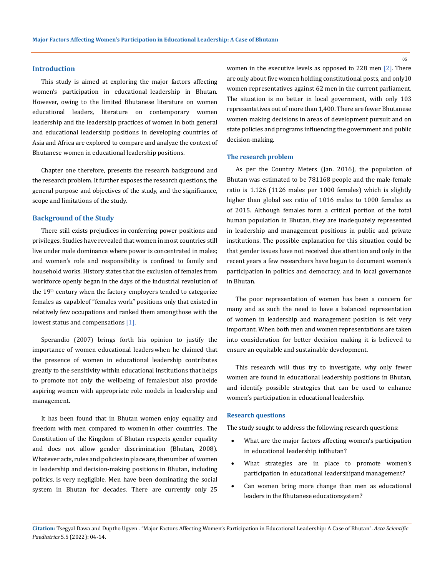#### **Introduction**

This study is aimed at exploring the major factors affecting women's participation in educational leadership in Bhutan. However, owing to the limited Bhutanese literature on women educational leaders, literature on contemporary women leadership and the leadership practices of women in both general and educational leadership positions in developing countries of Asia and Africa are explored to compare and analyze the context of Bhutanese women in educational leadership positions.

Chapter one therefore, presents the research background and the research problem. It further exposes the research questions, the general purpose and objectives of the study, and the significance, scope and limitations of the study.

### **Background of the Study**

There still exists prejudices in conferring power positions and privileges. Studies have revealed that women in most countries still live under male dominance where power is concentrated in males; and women's role and responsibility is confined to family and household works. History states that the exclusion of females from workforce openly began in the days of the industrial revolution of the 19<sup>th</sup> century when the factory employers tended to categorize females as capable of "females work" positions only that existed in relatively few occupations and ranked them amongthose with the lowest status and compensations [1].

Sperandio (2007) brings forth his opinion to justify the importance of women educational leaders when he claimed that the presence of women in educational leadership contributes greatly to the sensitivity within educational institutions that helps to promote not only the wellbeing of females but also provide aspiring women with appropriate role models in leadership and management.

It has been found that in Bhutan women enjoy equality and freedom with men compared to women in other countries. The Constitution of the Kingdom of Bhutan respects gender equality and does not allow gender discrimination (Bhutan, 2008). Whatever acts, rules and policies in place are, the number of women in leadership and decision-making positions in Bhutan, including politics, is very negligible. Men have been dominating the social system in Bhutan for decades. There are currently only 25 women in the executive levels as opposed to 228 men [2]. There are only about five women holding constitutional posts, and only 10 women representatives against 62 men in the current parliament. The situation is no better in local government, with only 103 representatives out of more than 1,400. There are fewer Bhutanese women making decisions in areas of development pursuit and on state policies and programs influencing the government and public decision-making.

#### **The research problem**

As per the Country Meters (Jan. 2016), the population of Bhutan was estimated to be 781168 people and the male-female ratio is 1.126 (1126 males per 1000 females) which is slightly higher than global sex ratio of 1016 males to 1000 females as of 2015. Although females form a critical portion of the total human population in Bhutan, they are inadequately represented in leadership and management positions in public and private institutions. The possible explanation for this situation could be that gender issues have not received due attention and only in the recent years a few researchers have begun to document women's participation in politics and democracy, and in local governance in Bhutan.

The poor representation of women has been a concern for many and as such the need to have a balanced representation of women in leadership and management position is felt very important. When both men and women representations are taken into consideration for better decision making it is believed to ensure an equitable and sustainable development.

This research will thus try to investigate, why only fewer women are found in educational leadership positions in Bhutan, and identify possible strategies that can be used to enhance women's participation in educational leadership.

## **Research questions**

The study sought to address the following research questions:

- What are the major factors affecting women's participation in educational leadership in Bhutan?
- What strategies are in place to promote women's participation in educational leadershipand management?
- Can women bring more change than men as educational leaders in the Bhutanese educationsystem?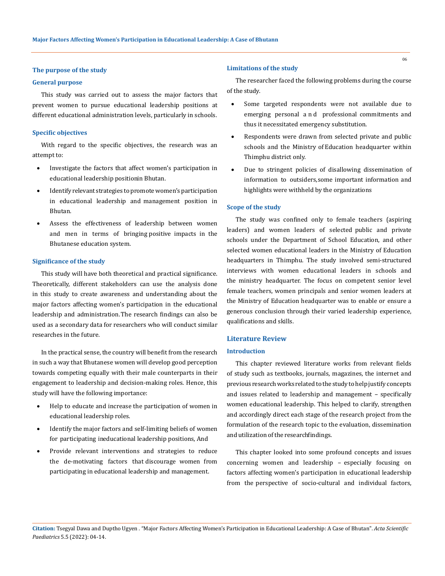## **The purpose of the study**

#### **General purpose**

This study was carried out to assess the major factors that prevent women to pursue educational leadership positions at different educational administration levels, particularly in schools.

## **Specific objectives**

With regard to the specific objectives, the research was an attempt to:

- • Investigate the factors that affect women's participation in educational leadership positionin Bhutan.
- Identify relevant strategies to promote women's participation in educational leadership and management position in Bhutan.
- Assess the effectiveness of leadership between women and men in terms of bringing positive impacts in the Bhutanese education system.

## **Significance of the study**

This study will have both theoretical and practical significance. Theoretically, different stakeholders can use the analysis done in this study to create awareness and understanding about the major factors affecting women's participation in the educational leadership and administration. The research findings can also be used as a secondary data for researchers who will conduct similar researches in the future.

In the practical sense, the country will benefit from the research in such a way that Bhutanese women will develop good perception towards competing equally with their male counterparts in their engagement to leadership and decision-making roles. Hence, this study will have the following importance:

- Help to educate and increase the participation of women in educational leadership roles.
- Identify the major factors and self-limiting beliefs of women for participating ineducational leadership positions, And
- Provide relevant interventions and strategies to reduce the de-motivating factors that discourage women from participating in educational leadership and management.

## **Limitations of the study**

The researcher faced the following problems during the course of the study.

- • Some targeted respondents were not available due to emerging personal a n d professional commitments and thus it necessitated emergency substitution.
- Respondents were drawn from selected private and public schools and the Ministry of Education headquarter within Thimphu district only.
- Due to stringent policies of disallowing dissemination of information to outsiders, some important information and highlights were withheld by the organizations

## **Scope of the study**

The study was confined only to female teachers (aspiring leaders) and women leaders of selected public and private schools under the Department of School Education, and other selected women educational leaders in the Ministry of Education headquarters in Thimphu. The study involved semi-structured interviews with women educational leaders in schools and the ministry headquarter. The focus on competent senior level female teachers, women principals and senior women leaders at the Ministry of Education headquarter was to enable or ensure a generous conclusion through their varied leadership experience, qualifications and skills.

### **Literature Review**

## **Introduction**

This chapter reviewed literature works from relevant fields of study such as textbooks, journals, magazines, the internet and previous research works related to the study to help justify concepts and issues related to leadership and management – specifically women educational leadership. This helped to clarify, strengthen and accordingly direct each stage of the research project from the formulation of the research topic to the evaluation, dissemination and utilization of the research findings.

This chapter looked into some profound concepts and issues concerning women and leadership – especially focusing on factors affecting women's participation in educational leadership from the perspective of socio-cultural and individual factors,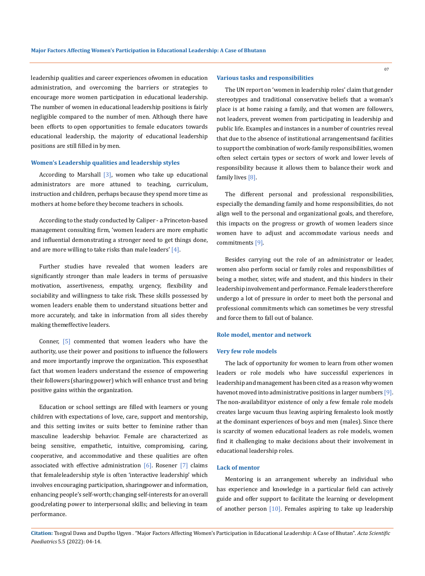leadership qualities and career experiences of women in education administration, and overcoming the barriers or strategies to encourage more women participation in educational leadership. The number of women in educational leadership positions is fairly negligible compared to the number of men. Although there have been efforts to open opportunities to female educators towards educational leadership, the majority of educational leadership positions are still filled in by men.

#### **Women's Leadership qualities and leadership styles**

According to Marshall  $[3]$ , women who take up educational administrators are more attuned to teaching, curriculum, instruction and children, perhaps because they spend more time as mothers at home before they become teachers in schools.

According to the study conducted by Caliper - a Princeton-based management consulting firm, 'women leaders are more emphatic and influential demonstrating a stronger need to get things done, and are more willing to take risks than male leaders' [4].

Further studies have revealed that women leaders are significantly stronger than male leaders in terms of persuasive motivation, assertiveness, empathy, urgency, flexibility and sociability and willingness to take risk. These skills possessed by women leaders enable them to understand situations better and more accurately, and take in information from all sides thereby making them effective leaders.

Conner, [5] commented that women leaders who have the authority, use their power and positions to influence the followers and more importantly improve the organization. This exposesthat fact that women leaders understand the essence of empowering their followers (sharing power) which will enhance trust and bring positive gains within the organization.

Education or school settings are filled with learners or young children with expectations of love, care, support and mentorship, and this setting invites or suits better to feminine rather than masculine leadership behavior. Female are characterized as being sensitive, empathetic, intuitive, compromising, caring, cooperative, and accommodative and these qualities are often associated with effective administration  $[6]$ . Rosener  $[7]$  claims that female leadership style is often 'interactive leadership' which involves encouraging participation, sharing power and information, enhancing people's self-worth; changing self-interests for an overall good, relating power to interpersonal skills; and believing in team performance.

#### **Various tasks and responsibilities**

The UN report on 'women in leadership roles' claim that gender stereotypes and traditional conservative beliefs that a woman's place is at home raising a family, and that women are followers, not leaders, prevent women from participating in leadership and public life. Examples and instances in a number of countries reveal that due to the absence of institutional arrangements and facilities to support the combination of work-family responsibilities, women often select certain types or sectors of work and lower levels of responsibility because it allows them to balance their work and family lives [8].

The different personal and professional responsibilities, especially the demanding family and home responsibilities, do not align well to the personal and organizational goals, and therefore, this impacts on the progress or growth of women leaders since women have to adjust and accommodate various needs and commitments [9].

Besides carrying out the role of an administrator or leader, women also perform social or family roles and responsibilities of being a mother, sister, wife and student, and this hinders in their leadership involvement and performance. Female leaders therefore undergo a lot of pressure in order to meet both the personal and professional commitments which can sometimes be very stressful and force them to fall out of balance.

## **Role model, mentor and network**

#### **Very few role models**

The lack of opportunity for women to learn from other women leaders or role models who have successful experiences in leadership and management has been cited as a reason why women have not moved into administrative positions in larger numbers [9]. The non-availability or existence of only a few female role models creates large vacuum thus leaving aspiring femalesto look mostly at the dominant experiences of boys and men (males). Since there is scarcity of women educational leaders as role models, women find it challenging to make decisions about their involvement in educational leadership roles.

## **Lack of mentor**

Mentoring is an arrangement whereby an individual who has experience and knowledge in a particular field can actively guide and offer support to facilitate the learning or development of another person  $[10]$ . Females aspiring to take up leadership

**Citation:** Tsegyal Dawa and Duptho Ugyen *.* "Major Factors Affecting Women's Participation in Educational Leadership: A Case of Bhutan". *Acta Scientific Paediatrics* 5.5 (2022): 04-14.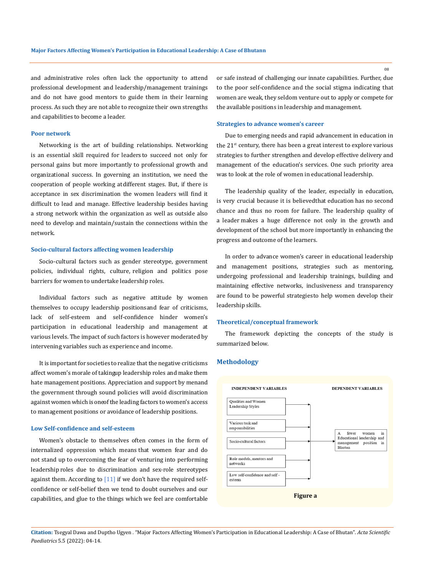and administrative roles often lack the opportunity to attend professional development and leadership/management trainings and do not have good mentors to guide them in their learning process. As such they are not able to recognize their own strengths and capabilities to become a leader.

#### **Poor network**

Networking is the art of building relationships. Networking is an essential skill required for leaders to succeed not only for personal gains but more importantly to professional growth and organizational success. In governing an institution, we need the cooperation of people working at different stages. But, if there is acceptance in sex discrimination the women leaders will find it difficult to lead and manage. Effective leadership besides having a strong network within the organization as well as outside also need to develop and maintain/sustain the connections within the network.

## **Socio-cultural factors affecting women leadership**

Socio-cultural factors such as gender stereotype, government policies, individual rights, culture, religion and politics pose barriers for women to undertake leadership roles.

Individual factors such as negative attitude by women themselves to occupy leadership positions and fear of criticisms, lack of self-esteem and self-confidence hinder women's participation in educational leadership and management at various levels. The impact of such factors is however moderated by intervening variables such as experience and income.

It is important for societies to realize that the negative criticisms affect women's morale of takingup leadership roles and make them hate management positions. Appreciation and support by menand the government through sound policies will avoid discrimination against women which is oneof the leading factors to women's access to management positions or avoidance of leadership positions.

## **Low Self-confidence and self-esteem**

Women's obstacle to themselves often comes in the form of internalized oppression which means that women fear and do not stand up to overcoming the fear of venturing into performing leadership roles due to discrimination and sex-role stereotypes against them. According to  $[11]$  if we don't have the required selfconfidence or self-belief then we tend to doubt ourselves and our capabilities, and glue to the things which we feel are comfortable

or safe instead of challenging our innate capabilities. Further, due to the poor self-confidence and the social stigma indicating that women are weak, they seldom venture out to apply or compete for the available positions in leadership and management.

#### **Strategies to advance women's career**

Due to emerging needs and rapid advancement in education in the  $21<sup>st</sup>$  century, there has been a great interest to explore various strategies to further strengthen and develop effective delivery and management of the education's services. One such priority area was to look at the role of women in educational leadership.

The leadership quality of the leader, especially in education, is very crucial because it is believed that education has no second chance and thus no room for failure. The leadership quality of a leader makes a huge difference not only in the growth and development of the school but more importantly in enhancing the progress and outcome of the learners.

In order to advance women's career in educational leadership and management positions, strategies such as mentoring, undergoing professional and leadership trainings, building and maintaining effective networks, inclusiveness and transparency are found to be powerful strategies to help women develop their leadership skills.

## **Theoretical/conceptual framework**

The framework depicting the concepts of the study is summarized below.

## **Methodology**



**Citation:** Tsegyal Dawa and Duptho Ugyen *.* "Major Factors Affecting Women's Participation in Educational Leadership: A Case of Bhutan". *Acta Scientific Paediatrics* 5.5 (2022): 04-14.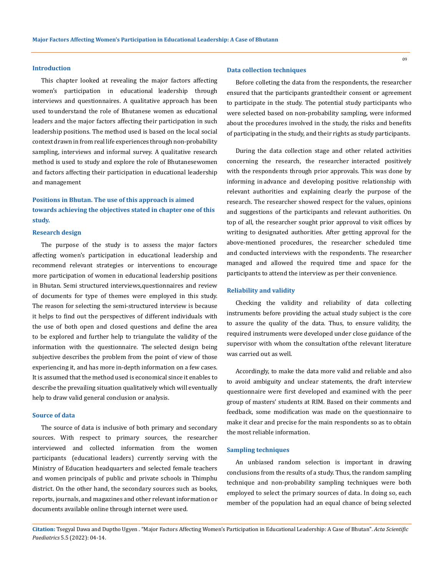## **Introduction**

This chapter looked at revealing the major factors affecting women's participation in educational leadership through interviews and questionnaires. A qualitative approach has been used to understand the role of Bhutanese women as educational leaders and the major factors affecting their participation in such leadership positions. The method used is based on the local social context drawn in from real life experiences through non-probability sampling, interviews and informal survey. A qualitative research method is used to study and explore the role of Bhutanesewomen and factors affecting their participation in educational leadership and management

## **Positions in Bhutan. The use of this approach is aimed towards achieving the objectives stated in chapter one of this study.**

#### **Research design**

The purpose of the study is to assess the major factors affecting women's participation in educational leadership and recommend relevant strategies or interventions to encourage more participation of women in educational leadership positions in Bhutan. Semi structured interviews, questionnaires and review of documents for type of themes were employed in this study. The reason for selecting the semi-structured interview is because it helps to find out the perspectives of different individuals with the use of both open and closed questions and define the area to be explored and further help to triangulate the validity of the information with the questionnaire. The selected design being subjective describes the problem from the point of view of those experiencing it, and has more in-depth information on a few cases. It is assumed that the method used is economical since it enables to describe the prevailing situation qualitatively which will eventually help to draw valid general conclusion or analysis.

#### **Source of data**

The source of data is inclusive of both primary and secondary sources. With respect to primary sources, the researcher interviewed and collected information from the women participants (educational leaders) currently serving with the Ministry of Education headquarters and selected female teachers and women principals of public and private schools in Thimphu district. On the other hand, the secondary sources such as books, reports, journals, and magazines and other relevant information or documents available online through internet were used.

#### **Data collection techniques**

Before colleting the data from the respondents, the researcher ensured that the participants granted their consent or agreement to participate in the study. The potential study participants who were selected based on non-probability sampling, were informed about the procedures involved in the study, the risks and benefits of participating in the study, and their rights as study participants.

During the data collection stage and other related activities concerning the research, the researcher interacted positively with the respondents through prior approvals. This was done by informing in advance and developing positive relationship with relevant authorities and explaining clearly the purpose of the research. The researcher showed respect for the values, opinions and suggestions of the participants and relevant authorities. On top of all, the researcher sought prior approval to visit offices by writing to designated authorities. After getting approval for the above-mentioned procedures, the researcher scheduled time and conducted interviews with the respondents. The researcher managed and allowed the required time and space for the participants to attend the interview as per their convenience.

#### **Reliability and validity**

Checking the validity and reliability of data collecting instruments before providing the actual study subject is the core to assure the quality of the data. Thus, to ensure validity, the required instruments were developed under close guidance of the supervisor with whom the consultation of the relevant literature was carried out as well.

Accordingly, to make the data more valid and reliable and also to avoid ambiguity and unclear statements, the draft interview questionnaire were first developed and examined with the peer group of masters' students at RIM. Based on their comments and feedback, some modification was made on the questionnaire to make it clear and precise for the main respondents so as to obtain the most reliable information.

#### **Sampling techniques**

An unbiased random selection is important in drawing conclusions from the results of a study. Thus, the random sampling technique and non-probability sampling techniques were both employed to select the primary sources of data. In doing so, each member of the population had an equal chance of being selected

**Citation:** Tsegyal Dawa and Duptho Ugyen *.* "Major Factors Affecting Women's Participation in Educational Leadership: A Case of Bhutan". *Acta Scientific Paediatrics* 5.5 (2022): 04-14.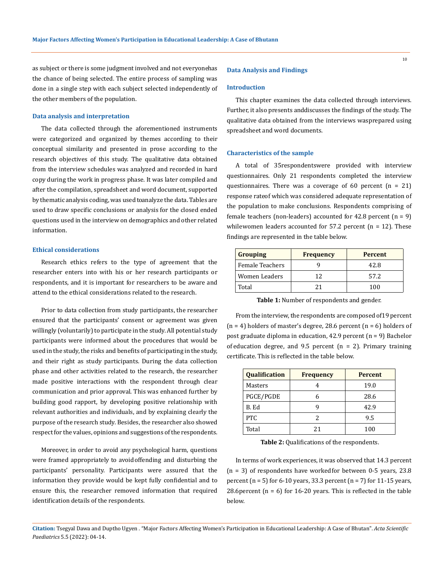as subject or there is some judgment involved and not everyonehas the chance of being selected. The entire process of sampling was done in a single step with each subject selected independently of the other members of the population.

## **Data analysis and interpretation**

The data collected through the aforementioned instruments were categorized and organized by themes according to their conceptual similarity and presented in prose according to the research objectives of this study. The qualitative data obtained from the interview schedules was analyzed and recorded in hard copy during the work in progress phase. It was later compiled and after the compilation, spreadsheet and word document, supported by thematic analysis coding, was used toanalyze the data. Tables are used to draw specific conclusions or analysis for the closed ended questions used in the interview on demographics and other related information.

## **Ethical considerations**

Research ethics refers to the type of agreement that the researcher enters into with his or her research participants or respondents, and it is important for researchers to be aware and attend to the ethical considerations related to the research.

Prior to data collection from study participants, the researcher ensured that the participants' consent or agreement was given willingly (voluntarily) to participate in the study. All potential study participants were informed about the procedures that would be used in the study, the risks and benefits of participating in the study, and their right as study participants. During the data collection phase and other activities related to the research, the researcher made positive interactions with the respondent through clear communication and prior approval. This was enhanced further by building good rapport, by developing positive relationship with relevant authorities and individuals, and by explaining clearly the purpose of the research study. Besides, the researcher also showed respect for the values, opinions and suggestions of the respondents.

Moreover, in order to avoid any psychological harm, questions were framed appropriately to avoid offending and disturbing the participants' personality. Participants were assured that the information they provide would be kept fully confidential and to ensure this, the researcher removed information that required identification details of the respondents.

#### **Data Analysis and Findings**

#### **Introduction**

This chapter examines the data collected through interviews. Further, it also presents and discusses the findings of the study. The qualitative data obtained from the interviews was prepared using spreadsheet and word documents.

#### **Characteristics of the sample**

A total of 35respondentswere provided with interview questionnaires. Only 21 respondents completed the interview questionnaires. There was a coverage of 60 percent  $(n = 21)$ response rateof which was considered adequate representation of the population to make conclusions. Respondents comprising of female teachers (non-leaders) accounted for 42.8 percent  $(n = 9)$ while women leaders accounted for 57.2 percent ( $n = 12$ ). These findings are represented in the table below.

| <b>Grouping</b>      | <b>Frequency</b> | <b>Percent</b> |
|----------------------|------------------|----------------|
| Female Teachers      |                  | 42.8           |
| <b>Women Leaders</b> | 17               | 57.2           |
| Total                |                  | 100            |

**Table 1:** Number of respondents and gender.

From the interview, the respondents are composed of19 percent  $(n = 4)$  holders of master's degree, 28.6 percent  $(n = 6)$  holders of post graduate diploma in education, 42.9 percent (n = 9) Bachelor of education degree, and 9.5 percent ( $n = 2$ ). Primary training certificate. This is reflected in the table below.

| <b>Qualification</b> | <b>Frequency</b> | <b>Percent</b> |
|----------------------|------------------|----------------|
| Masters              |                  | 19.0           |
| PGCE/PGDE            |                  | 28.6           |
| B. Ed                |                  | 42.9           |
| <b>PTC</b>           |                  | 9.5            |
| Total                | 21               | 100            |

**Table 2:** Qualifications of the respondents.

In terms of work experiences, it was observed that 14.3 percent  $(n = 3)$  of respondents have worked for between 0-5 years, 23.8 percent  $(n = 5)$  for 6-10 years, 33.3 percent  $(n = 7)$  for 11-15 years, 28.6 percent ( $n = 6$ ) for 16-20 years. This is reflected in the table below.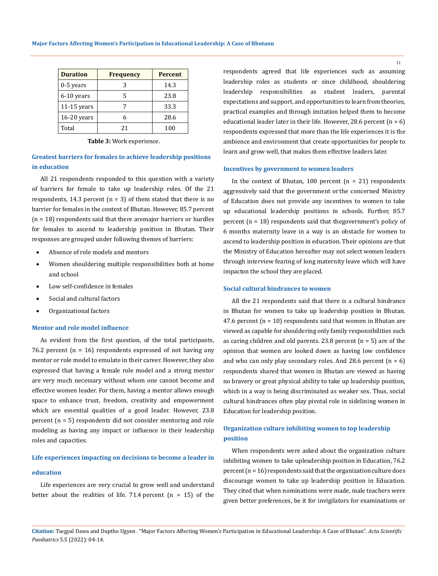| <b>Duration</b> | <b>Frequency</b> | <b>Percent</b> |
|-----------------|------------------|----------------|
| $0-5$ years     |                  | 14.3           |
| 6-10 years      | 5                | 23.8           |
| $11-15$ years   |                  | 33.3           |
| 16-20 years     |                  | 28.6           |
| Total           | 21               | 100            |

**Table 3:** Work experience.

## **Greatest barriers for females to achieve leadership positions in education**

All 21 respondents responded to this question with a variety of barriers for female to take up leadership roles. Of the 21 respondents, 14.3 percent  $(n = 3)$  of them stated that there is no barrier for females in the context of Bhutan. However, 85.7 percent  $(n = 18)$  respondents said that there are major barriers or hurdles for females to ascend to leadership position in Bhutan. Their responses are grouped under following themes of barriers:

- Absence of role models and mentors
- Women shouldering multiple responsibilities both at home and school
- Low self-confidence in females
- Social and cultural factors
- Organizational factors

## **Mentor and role model influence**

As evident from the first question, of the total participants, 76.2 percent  $(n = 16)$  respondents expressed of not having any mentor or role model to emulate in their career. However, they also expressed that having a female role model and a strong mentor are very much necessary without whom one cannot become and effective women leader. For them, having a mentor allows enough space to enhance trust, freedom, creativity and empowerment which are essential qualities of a good leader. However, 23.8 percent (n = 5) respondents did not consider mentoring and role modeling as having any impact or influence in their leadership roles and capacities.

## **Life experiences impacting on decisions to become a leader in**

## **education**

Life experiences are very crucial to grow well and understand better about the realities of life. 71.4 percent  $(n = 15)$  of the respondents agreed that life experiences such as assuming leadership roles as students or since childhood, shouldering leadership responsibilities as student leaders, parental expectations and support, and opportunities to learn from theories, practical examples and through imitation helped them to become educational leader later in their life. However, 28.6 percent  $(n = 6)$ respondents expressed that more than the life experiences it is the ambience and environment that create opportunities for people to learn and grow well, that makes them effective leaders later.

### **Incentives by government to women leaders**

In the context of Bhutan,  $100$  percent  $(n = 21)$  respondents aggressively said that the government or the concerned Ministry of Education does not provide any incentives to women to take up educational leadership positions in schools. Further, 85.7 percent ( $n = 18$ ) respondents said that the government's policy of 6 months maternity leave in a way is an obstacle for women to ascend to leadership position in education. Their opinions are that the Ministry of Education hereafter may not select women leaders through interview fearing of long maternity leave which will have impacton the school they are placed.

## **Social cultural hindrances to women**

All the 21 respondents said that there is a cultural hindrance in Bhutan for women to take up leadership position in Bhutan. 47.6 percent  $(n = 10)$  respondents said that women in Bhutan are viewed as capable for shouldering only family responsibilities such as caring children and old parents. 23.8 percent  $(n = 5)$  are of the opinion that women are looked down as having low confidence and who can only play secondary roles. And 28.6 percent  $(n = 6)$ respondents shared that women in Bhutan are viewed as having no bravery or great physical ability to take up leadership position, which in a way is being discriminated as weaker sex. Thus, social cultural hindrances often play pivotal role in sidelining women in Education for leadership position.

## **Organization culture inhibiting women to top leadership position**

When respondents were asked about the organization culture inhibiting women to take upleadership position in Education, 76.2  $percent (n = 16)$  respondents said that the organization culture does discourage women to take up leadership position in Education. They cited that when nominations were made, male teachers were given better preferences, be it for invigilators for examinations or

**Citation:** Tsegyal Dawa and Duptho Ugyen *.* "Major Factors Affecting Women's Participation in Educational Leadership: A Case of Bhutan". *Acta Scientific Paediatrics* 5.5 (2022): 04-14.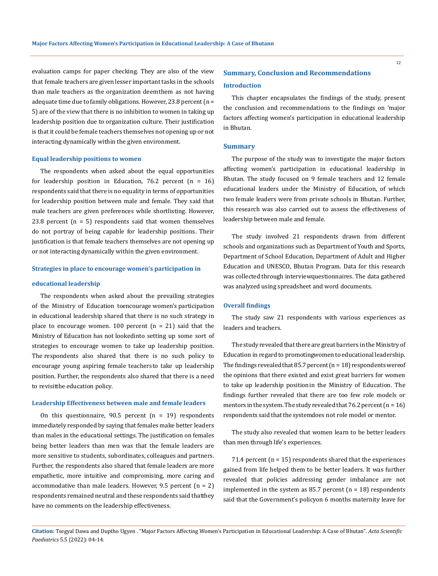evaluation camps for paper checking. They are also of the view that female teachers are given lesser important tasks in the schools than male teachers as the organization deem them as not having adequate time due to family obligations. However, 23.8 percent (n = 5) are of the view that there is no inhibition to women in taking up leadership position due to organization culture. Their justification is that it could be female teachers themselves not opening up or not interacting dynamically within the given environment.

#### **Equal leadership positions to women**

The respondents when asked about the equal opportunities for leadership position in Education, 76.2 percent  $(n = 16)$ respondents said that there is no equality in terms of opportunities for leadership position between male and female. They said that male teachers are given preferences while shortlisting. However, 23.8 percent  $(n = 5)$  respondents said that women themselves do not portray of being capable for leadership positions. Their justification is that female teachers themselves are not opening up or not interacting dynamically within the given environment.

## **Strategies in place to encourage women's participation in**

#### **educational leadership**

The respondents when asked about the prevailing strategies of the Ministry of Education toencourage women's participation in educational leadership shared that there is no such strategy in place to encourage women. 100 percent  $(n = 21)$  said that the Ministry of Education has not lookedinto setting up some sort of strategies to encourage women to take up leadership position. The respondents also shared that there is no such policy to encourage young aspiring female teachersto take up leadership position. Further, the respondents also shared that there is a need to revisitthe education policy.

#### **Leadership Effectiveness between male and female leaders**

On this questionnaire,  $90.5$  percent (n = 19) respondents immediately responded by saying that females make better leaders than males in the educational settings. The justification on females being better leaders than men was that the female leaders are more sensitive to students, subordinates, colleagues and partners. Further, the respondents also shared that female leaders are more empathetic, more intuitive and compromising, more caring and accommodative than male leaders. However, 9.5 percent  $(n = 2)$ respondents remained neutral and these respondents said thatthey have no comments on the leadership effectiveness.

# **Summary, Conclusion and Recommendations Introduction**

This chapter encapsulates the findings of the study, present the conclusion and recommendations to the findings on 'major factors affecting women's participation in educational leadership in Bhutan.

## **Summary**

The purpose of the study was to investigate the major factors affecting women's participation in educational leadership in Bhutan. The study focused on 9 female teachers and 12 female educational leaders under the Ministry of Education, of which two female leaders were from private schools in Bhutan. Further, this research was also carried out to assess the effectiveness of leadership between male and female.

The study involved 21 respondents drawn from different schools and organizations such as Department of Youth and Sports, Department of School Education, Department of Adult and Higher Education and UNESCO, Bhutan Program. Data for this research was collected through interview questionnaires. The data gathered was analyzed using spreadsheet and word documents.

## **Overall findings**

The study saw 21 respondents with various experiences as leaders and teachers.

The study revealed that there are great barriers in the Ministry of Education in regard to promoting women to educational leadership. The findings revealed that 85.7 percent ( $n = 18$ ) respondents were of the opinions that there existed and exist great barriers for women to take up leadership position in the Ministry of Education. The findings further revealed that there are too few role models or mentors in the system. The study revealed that  $76.2$  percent  $(n = 16)$ respondents said that the system does not role model or mentor.

The study also revealed that women learn to be better leaders than men through life's experiences.

71.4 percent  $(n = 15)$  respondents shared that the experiences gained from life helped them to be better leaders. It was further revealed that policies addressing gender imbalance are not implemented in the system as 85.7 percent  $(n = 18)$  respondents said that the Government's policyon 6 months maternity leave for

**Citation:** Tsegyal Dawa and Duptho Ugyen *.* "Major Factors Affecting Women's Participation in Educational Leadership: A Case of Bhutan". *Acta Scientific Paediatrics* 5.5 (2022): 04-14.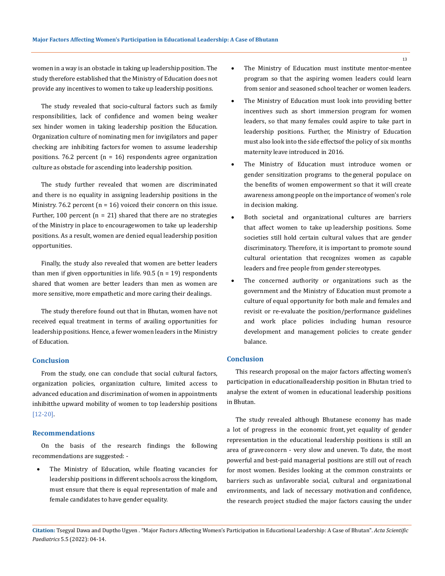women in a way is an obstacle in taking up leadership position. The study therefore established that the Ministry of Education does not provide any incentives to women to take up leadership positions.

The study revealed that socio-cultural factors such as family responsibilities, lack of confidence and women being weaker sex hinder women in taking leadership position the Education. Organization culture of nominating men for invigilators and paper checking are inhibiting factors for women to assume leadership positions. 76.2 percent  $(n = 16)$  respondents agree organization culture as obstacle for ascending into leadership position.

The study further revealed that women are discriminated and there is no equality in assigning leadership positions in the Ministry. 76.2 percent  $(n = 16)$  voiced their concern on this issue. Further, 100 percent ( $n = 21$ ) shared that there are no strategies of the Ministry in place to encouragewomen to take up leadership positions. As a result, women are denied equal leadership position opportunities.

Finally, the study also revealed that women are better leaders than men if given opportunities in life.  $90.5$  (n = 19) respondents shared that women are better leaders than men as women are more sensitive, more empathetic and more caring their dealings.

The study therefore found out that in Bhutan, women have not received equal treatment in terms of availing opportunities for leadership positions. Hence, a fewer women leaders in the Ministry of Education.

## **Conclusion**

From the study, one can conclude that social cultural factors, organization policies, organization culture, limited access to advanced education and discrimination of women in appointments inhibitthe upward mobility of women to top leadership positions [12-20].

## **Recommendations**

On the basis of the research findings the following recommendations are suggested: -

The Ministry of Education, while floating vacancies for leadership positions in different schools across the kingdom, must ensure that there is equal representation of male and female candidates to have gender equality.

- The Ministry of Education must institute mentor-mentee program so that the aspiring women leaders could learn from senior and seasoned school teacher or women leaders.
- The Ministry of Education must look into providing better incentives such as short immersion program for women leaders, so that many females could aspire to take part in leadership positions. Further, the Ministry of Education must also look into the side effects of the policy of six months maternity leave introduced in 2016.
- The Ministry of Education must introduce women or gender sensitization programs to the general populace on the benefits of women empowerment so that it will create awareness among people on the importance of women's role in decision making.
- Both societal and organizational cultures are barriers that affect women to take up leadership positions. Some societies still hold certain cultural values that are gender discriminatory. Therefore, it is important to promote sound cultural orientation that recognizes women as capable leaders and free people from gender stereotypes.
- The concerned authority or organizations such as the government and the Ministry of Education must promote a culture of equal opportunity for both male and females and revisit or re-evaluate the position/performance guidelines and work place policies including human resource development and management policies to create gender balance.

## **Conclusion**

This research proposal on the major factors affecting women's participation in educational leadership position in Bhutan tried to analyse the extent of women in educational leadership positions in Bhutan.

The study revealed although Bhutanese economy has made a lot of progress in the economic front, yet equality of gender representation in the educational leadership positions is still an area of grave concern - very slow and uneven. To date, the most powerful and best-paid managerial positions are still out of reach for most women. Besides looking at the common constraints or barriers such as unfavorable social, cultural and organizational environments, and lack of necessary motivation and confidence, the research project studied the major factors causing the under